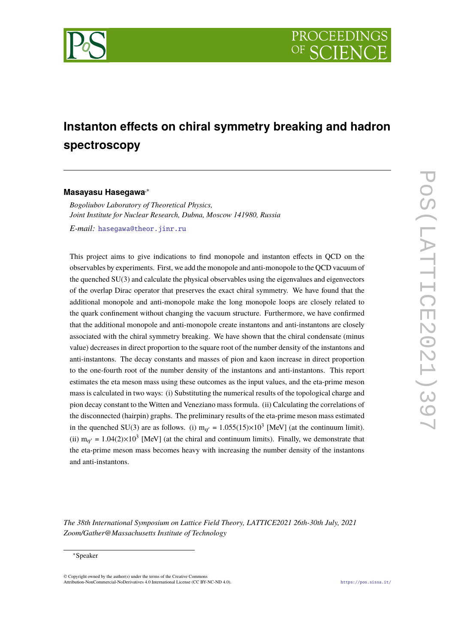

# **Instanton effects on chiral symmetry breaking and hadron spectroscopy**

### **Masayasu Hasegawa**,<sup>∗</sup>

*Bogoliubov Laboratory of Theoretical Physics, Joint Institute for Nuclear Research, Dubna, Moscow 141980, Russia E-mail:* hasegawa@theor.jinr.ru

This project aims to give indications to find monopole and instanton effects in QCD on the observables by experiments. First, we add the monopole and anti-monopole to the QCD vacuum of the quenched SU(3) and calculate the physical observables using the eigenvalues and eigenvectors of the overlap Dirac operator that preserves the exact chiral symmetry. We have found that the additional monopole and anti-monopole make the long monopole loops are closely related to the quark confinement without changing the vacuum structure. Furthermore, we have confirmed that the additional monopole and anti-monopole create instantons and anti-instantons are closely associated with the chiral symmetry breaking. We have shown that the chiral condensate (minus value) decreases in direct proportion to the square root of the number density of the instantons and anti-instantons. The decay constants and masses of pion and kaon increase in direct proportion to the one-fourth root of the number density of the instantons and anti-instantons. This report estimates the eta meson mass using these outcomes as the input values, and the eta-prime meson mass is calculated in two ways: (i) Substituting the numerical results of the topological charge and pion decay constant to the Witten and Veneziano mass formula. (ii) Calculating the correlations of the disconnected (hairpin) graphs. The preliminary results of the eta-prime meson mass estimated in the quenched SU(3) are as follows. (i)  $m_{\eta'} = 1.055(15) \times 10^3$  [MeV] (at the continuum limit). (ii)  $m_{\eta'} = 1.04(2) \times 10^3$  [MeV] (at the chiral and continuum limits). Finally, we demonstrate that the eta-prime meson mass becomes heavy with increasing the number density of the instantons and anti-instantons.

*The 38th International Symposium on Lattice Field Theory, LATTICE2021 26th-30th July, 2021 Zoom/Gather@Massachusetts Institute of Technology*

<sup>∗</sup>Speaker

 $\odot$  Copyright owned by the author(s) under the terms of the Creative Common Attribution-NonCommercial-NoDerivatives 4.0 International License (CC BY-NC-ND 4.0). https://pos.sissa.it/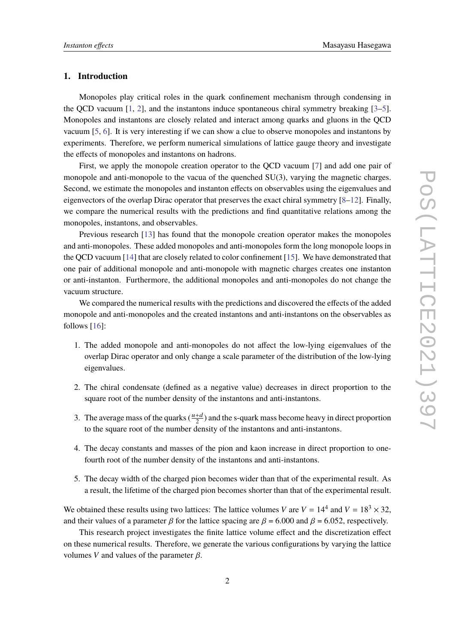## **1. Introduction**

Monopoles play critical roles in the quark confinement mechanism through condensing in the QCD vacuum [1, 2], and the instantons induce spontaneous chiral symmetry breaking [3–5]. Monopoles and instantons are closely related and interact among quarks and gluons in the QCD vacuum [5, 6]. It is very interesting if we can show a clue to observe monopoles and instantons by experiments. Therefore, we perform numerical simulations of lattice gauge theory and investigate the effects of monopoles and instantons on hadrons.

First, we apply the monopole creation operator to the QCD vacuum [7] and add one pair of monopole and anti-monopole to the vacua of the quenched SU(3), varying the magnetic charges. Second, we estimate the monopoles and instanton effects on observables using the eigenvalues and eigenvectors of the overlap Dirac operator that preserves the exact chiral symmetry [8–12]. Finally, we compare the numerical results with the predictions and find quantitative relations among the monopoles, instantons, and observables.

Previous research [13] has found that the monopole creation operator makes the monopoles and anti-monopoles. These added monopoles and anti-monopoles form the long monopole loops in the QCD vacuum [14] that are closely related to color confinement [15]. We have demonstrated that one pair of additional monopole and anti-monopole with magnetic charges creates one instanton or anti-instanton. Furthermore, the additional monopoles and anti-monopoles do not change the vacuum structure.

We compared the numerical results with the predictions and discovered the effects of the added monopole and anti-monopoles and the created instantons and anti-instantons on the observables as follows [16]:

- 1. The added monopole and anti-monopoles do not affect the low-lying eigenvalues of the overlap Dirac operator and only change a scale parameter of the distribution of the low-lying eigenvalues.
- 2. The chiral condensate (defined as a negative value) decreases in direct proportion to the square root of the number density of the instantons and anti-instantons.
- 3. The average mass of the quarks  $(\frac{u+d}{2})$  and the s-quark mass become heavy in direct proportion to the square root of the number density of the instantons and anti-instantons.
- 4. The decay constants and masses of the pion and kaon increase in direct proportion to onefourth root of the number density of the instantons and anti-instantons.
- 5. The decay width of the charged pion becomes wider than that of the experimental result. As a result, the lifetime of the charged pion becomes shorter than that of the experimental result.

We obtained these results using two lattices: The lattice volumes *V* are  $V = 14^4$  and  $V = 18^3 \times 32$ , and their values of a parameter  $\beta$  for the lattice spacing are  $\beta = 6.000$  and  $\beta = 6.052$ , respectively.

This research project investigates the finite lattice volume effect and the discretization effect on these numerical results. Therefore, we generate the various configurations by varying the lattice volumes *V* and values of the parameter  $β$ .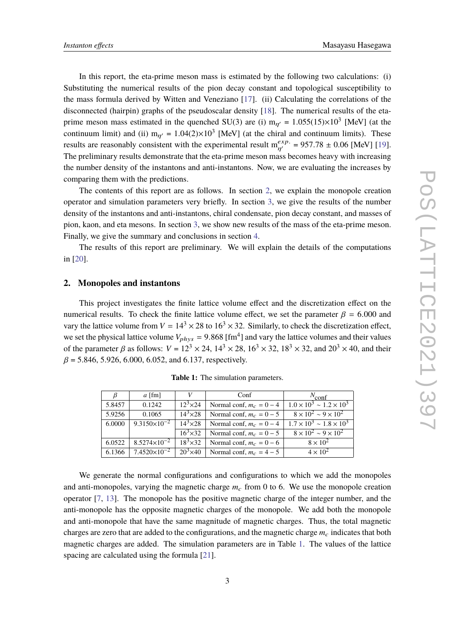In this report, the eta-prime meson mass is estimated by the following two calculations: (i) Substituting the numerical results of the pion decay constant and topological susceptibility to the mass formula derived by Witten and Veneziano [17]. (ii) Calculating the correlations of the disconnected (hairpin) graphs of the pseudoscalar density [18]. The numerical results of the etaprime meson mass estimated in the quenched SU(3) are (i)  $m_{\eta'} = 1.055(15) \times 10^3$  [MeV] (at the continuum limit) and (ii)  $m_{\eta'} = 1.04(2) \times 10^3$  [MeV] (at the chiral and continuum limits). These results are reasonably consistent with the experimental result  $m_{\eta'}^{exp.} = 957.78 \pm 0.06$  [MeV] [19]. The preliminary results demonstrate that the eta-prime meson mass becomes heavy with increasing the number density of the instantons and anti-instantons. Now, we are evaluating the increases by comparing them with the predictions.

The contents of this report are as follows. In section 2, we explain the monopole creation operator and simulation parameters very briefly. In section 3, we give the results of the number density of the instantons and anti-instantons, chiral condensate, pion decay constant, and masses of pion, kaon, and eta mesons. In section 3, we show new results of the mass of the eta-prime meson. Finally, we give the summary and conclusions in section 4.

The results of this report are preliminary. We will explain the details of the computations in [20].

### **2. Monopoles and instantons**

This project investigates the finite lattice volume effect and the discretization effect on the numerical results. To check the finite lattice volume effect, we set the parameter  $\beta = 6.000$  and vary the lattice volume from  $V = 14^3 \times 28$  to  $16^3 \times 32$ . Similarly, to check the discretization effect, we set the physical lattice volume  $V_{phys} = 9.868 \text{ [fm}^4 \text{]}$  and vary the lattice volumes and their values of the parameter  $\beta$  as follows:  $V = 12^3 \times 24$ ,  $14^3 \times 28$ ,  $16^3 \times 32$ ,  $18^3 \times 32$ , and  $20^3 \times 40$ , and their  $\beta$  = 5.846, 5.926, 6.000, 6.052, and 6.137, respectively.

| β      | $a$ [fm]                       |                  | Conf                       | $N_{\rm conf}$                         |  |
|--------|--------------------------------|------------------|----------------------------|----------------------------------------|--|
| 5.8457 | 0.1242                         | $12^3 \times 24$ | Normal conf, $m_c = 0 - 4$ | $1.0 \times 10^3 \sim 1.2 \times 10^3$ |  |
| 5.9256 | 0.1065                         | $14^3 \times 28$ | Normal conf, $m_c = 0 - 5$ | $8 \times 10^{2} \sim 9 \times 10^{2}$ |  |
| 6.0000 | $\sqrt{9.3150 \times 10^{-2}}$ | $14^3 \times 28$ | Normal conf, $m_c = 0 - 4$ | $1.7 \times 10^3 \sim 1.8 \times 10^3$ |  |
|        |                                | $16^3 \times 32$ | Normal conf, $m_c = 0 - 5$ | $8 \times 10^{2} \sim 9 \times 10^{2}$ |  |
| 6.0522 | $8.5274\times10^{-2}$          | $18^3 \times 32$ | Normal conf, $m_c = 0 - 6$ | $8 \times 10^{2}$                      |  |
| 6.1366 | $7.4520 \times 10^{-2}$        | $20^3 \times 40$ | Normal conf, $m_c = 4-5$   | $4 \times 10^2$                        |  |

**Table 1:** The simulation parameters.

We generate the normal configurations and configurations to which we add the monopoles and anti-monopoles, varying the magnetic charge  $m<sub>c</sub>$  from 0 to 6. We use the monopole creation operator [7, 13]. The monopole has the positive magnetic charge of the integer number, and the anti-monopole has the opposite magnetic charges of the monopole. We add both the monopole and anti-monopole that have the same magnitude of magnetic charges. Thus, the total magnetic charges are zero that are added to the configurations, and the magnetic charge  $m_c$  indicates that both magnetic charges are added. The simulation parameters are in Table 1. The values of the lattice spacing are calculated using the formula [21].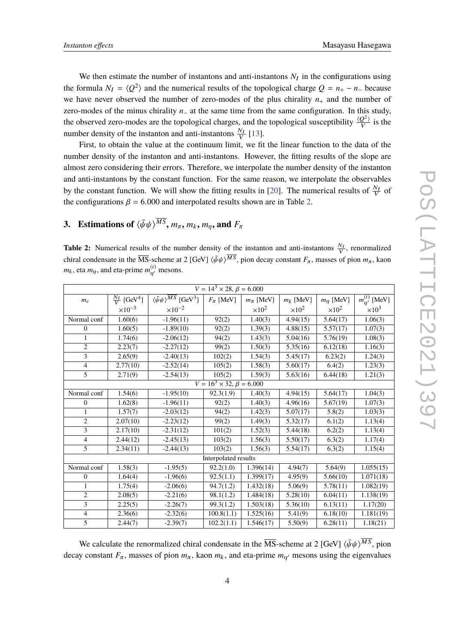We then estimate the number of instantons and anti-instantons  $N_I$  in the configurations using the formula  $N_I = \langle Q^2 \rangle$  and the numerical results of the topological charge  $Q = n_+ - n_-$  because we have never observed the number of zero-modes of the plus chirality  $n_+$  and the number of zero-modes of the minus chirality *n*<sup>−</sup> at the same time from the same configuration. In this study, the observed zero-modes are the topological charges, and the topological susceptibility  $\frac{\langle Q^2 \rangle}{V}$  $\frac{Q^{-\gamma}}{V}$  is the number density of the instanton and anti-instantons  $\frac{N_I}{V}$  [13].

First, to obtain the value at the continuum limit, we fit the linear function to the data of the number density of the instanton and anti-instantons. However, the fitting results of the slope are almost zero considering their errors. Therefore, we interpolate the number density of the instanton and anti-instantons by the constant function. For the same reason, we interpolate the observables by the constant function. We will show the fitting results in [20]. The numerical results of  $\frac{N_I}{V}$  of the configurations  $\beta = 6.000$  and interpolated results shown are in Table 2.

# **3.** Estimations of  $\langle \bar{\psi}\psi \rangle^{MS}$ ,  $m_{\pi}$ ,  $m_{k}$ ,  $m_{\eta}$ , and  $F_{\pi}$

**Table 2:** Numerical results of the number density of the instanton and anti-instantons  $\frac{N_I}{V}$ , renormalized chiral condensate in the MS-scheme at 2 [GeV]  $\langle \bar{\psi}\psi \rangle^{MS}$ , pion decay constant  $F_\pi$ , masses of pion  $m_\pi$ , kaon  $m_k$ , eta  $m_\eta$ , and eta-prime  $m_{\eta'}^{(i)}$  mesons.

| $V = 14^3 \times 28, \beta = 6.000$ |                                     |                                                           |                 |                 |                      |                       |                      |
|-------------------------------------|-------------------------------------|-----------------------------------------------------------|-----------------|-----------------|----------------------|-----------------------|----------------------|
| $m_c$                               | $\frac{N_I}{V}$ [GeV <sup>4</sup> ] | $\langle \bar{\psi}\psi \rangle^{MS}$ [GeV <sup>3</sup> ] | $F_{\pi}$ [MeV] | $m_{\pi}$ [MeV] | $m_k$ [MeV]          | $m_{\eta}$ [MeV]      | $m_{n'}^{(i)}$ [MeV] |
|                                     | $\times 10^{-3}$                    | $\times 10^{-2}$                                          |                 | $\times 10^2$   | $\times 10^2$        | $\times 10^2$         | $\times 10^3$        |
| Normal conf                         | 1.60(6)                             | $-1.96(11)$                                               | 92(2)           | 1.40(3)         | 4.94(15)             | 5.64(17)              | 1.06(3)              |
| $\theta$                            | 1.60(5)                             | $-1.89(10)$                                               | 92(2)           | 1.39(3)         | 4.88(15)             | 5.57(17)              | 1.07(3)              |
| 1                                   | 1.74(6)                             | $-2.06(12)$                                               | 94(2)           | 1.43(3)         | 5.04(16)             | 5.76(19)              | 1.08(3)              |
| $\overline{2}$                      | 2.23(7)                             | $-2.27(12)$                                               | 99(2)           | 1.50(3)         | 5.35(16)             | 6.12(18)              | 1.16(3)              |
| 3                                   | 2.65(9)                             | $-2.40(13)$                                               | 102(2)          | 1.54(3)         | 5.45(17)             | 6.23(2)               | 1.24(3)              |
| $\overline{4}$                      | 2.77(10)                            | $-2.52(14)$                                               | 105(2)          | 1.58(3)         | 5.60(17)             | 6.4(2)                | 1.23(3)              |
| 5                                   | 2.71(9)                             | $-2.54(13)$                                               | 105(2)          | 1.59(3)         | 5.63(16)             | 6.44(18)              | 1.21(3)              |
| $V = 16^3 \times 32, \beta = 6.000$ |                                     |                                                           |                 |                 |                      |                       |                      |
| Normal conf                         | 1.54(6)                             | $-1.95(10)$                                               | 92.3(1.9)       | 1.40(3)         | 4.94(15)             | 5.64(17)              | 1.04(3)              |
| $\theta$                            | 1.62(8)                             | $-1.96(11)$                                               | 92(2)           | 1.40(3)         | 4.96(16)             | 5.67(19)              | 1.07(3)              |
| $\mathbf{1}$                        | 1.57(7)                             | $-2.03(12)$                                               | 94(2)           | 1.42(3)         | 5.07(17)             | 5.8(2)                | 1.03(3)              |
| $\overline{2}$                      | 2.07(10)                            | $-2.23(12)$                                               | 99(2)           | 1.49(3)         | 5.32(17)             | 6.1(2)                | 1.13(4)              |
| 3                                   | 2.17(10)                            | $-2.31(12)$                                               | 101(2)          | 1.52(3)         | 5.44(18)             | 6.2(2)                | 1.13(4)              |
| $\overline{4}$                      | 2.44(12)                            | $-2.45(13)$                                               | 103(2)          | 1.56(3)         | 5.50(17)             | 6.3(2)                | 1.17(4)              |
| $\overline{5}$                      | 2.34(11)                            | $-2.44(13)$                                               | 103(2)          | 1.56(3)         | 5.54(17)             | 6.3(2)                | 1.15(4)              |
| Interpolated results                |                                     |                                                           |                 |                 |                      |                       |                      |
| Normal conf                         | 1.58(3)                             | $-1.95(5)$                                                | 92.2(1.0)       | 1.396(14)       | 4.94(7)              | 5.64(9)               | 1.055(15)            |
| $\Omega$                            | 1.64(4)                             | $-1.96(6)$                                                | 92.5(1.1)       | 1.399(17)       | 4.95(9)              | 5.66(10)              | 1.071(18)            |
| 1                                   | 1.75(4)                             | $-2.06(6)$                                                | 94.7(1.2)       | 1.432(18)       | 5.06(9)              | 5.78(11)              | 1.082(19)            |
| $\overline{2}$                      | 2.08(5)                             | $-2.21(6)$                                                | 98.1(1.2)       | 1.484(18)       | 5.28(10)             | 6.04(11)              | 1.138(19)            |
| 3                                   | 2.25(5)                             | $-2.26(7)$                                                | 99.3(1.2)       | 1.503(18)       | 5.36(10)             | 6.13(11)              | 1.17(20)             |
| $\overline{4}$                      | 2.36(6)                             | $-2.32(6)$                                                | 100.8(1.1)      | 1.525(16)       | 5.41(9)              | 6.18(10)              | 1.181(19)            |
| $\overline{5}$                      | 2.44(7)                             | $-2.39(7)$                                                | 102.2(1.1)      | 1.546(17)       | $\overline{5.50(9)}$ | $\overline{6.28(11)}$ | 1.18(21)             |

We calculate the renormalized chiral condensate in the  $\overline{\text{MS}}$ -scheme at 2 [GeV]  $\langle \bar{\psi}\psi \rangle^{MS}$ , pion decay constant  $F_\pi$ , masses of pion  $m_\pi$ , kaon  $m_k$ , and eta-prime  $m_{\eta'}$  mesons using the eigenvalues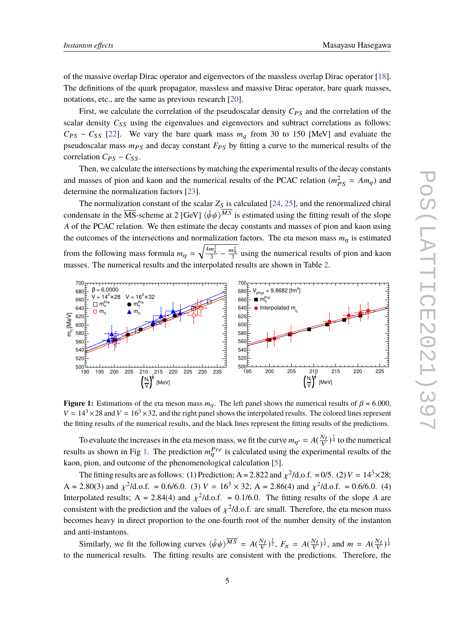of the massive overlap Dirac operator and eigenvectors of the massless overlap Dirac operator [18]. The definitions of the quark propagator, massless and massive Dirac operator, bare quark masses, notations, etc., are the same as previous research [20].

First, we calculate the correlation of the pseudoscalar density  $C_{PS}$  and the correlation of the scalar density  $C_{SS}$  using the eigenvalues and eigenvectors and subtract correlations as follows:  $C_{PS}$  −  $C_{SS}$  [22]. We vary the bare quark mass  $m_q$  from 30 to 150 [MeV] and evaluate the pseudoscalar mass  $m_{PS}$  and decay constant  $F_{PS}$  by fitting a curve to the numerical results of the correlation  $C_{PS}$  –  $C_{SS}$ .

Then, we calculate the intersections by matching the experimental results of the decay constants and masses of pion and kaon and the numerical results of the PCAC relation ( $m_{PS}^2 = Am_q$ ) and determine the normalization factors [23].

The normalization constant of the scalar  $Z_S$  is calculated [24, 25], and the renormalized chiral condensate in the  $\overline{\text{MS}}$ -scheme at 2 [GeV]  $\langle \bar{\psi}\psi \rangle^{MS}$  is estimated using the fitting result of the slope *A* of the PCAC relation. We then estimate the decay constants and masses of pion and kaon using the outcomes of the intersections and normalization factors. The eta meson mass  $m<sub>n</sub>$  is estimated from the following mass formula  $m_{\eta}$  =  $\sqrt{\frac{4m_k^2}{3} - \frac{m_\pi^2}{3}}$  using the numerical results of pion and kaon masses. The numerical results and the interpolated results are shown in Table 2.



**Figure 1:** Estimations of the eta meson mass  $m_n$ . The left panel shows the numerical results of  $\beta = 6.000$ ,  $V = 14<sup>3</sup> \times 28$  and  $V = 16<sup>3</sup> \times 32$ , and the right panel shows the interpolated results. The colored lines represent the fitting results of the numerical results, and the black lines represent the fitting results of the predictions.

To evaluate the increases in the eta meson mass, we fit the curve  $m_{\eta'} = A(\frac{N_I}{V})^{\frac{1}{4}}$  to the numerical results as shown in Fig 1. The prediction  $m_{\eta}^{Pre}$  is calculated using the experimental results of the kaon, pion, and outcome of the phenomenological calculation [5].

The fitting results are as follows: (1) Prediction;  $A = 2.822$  and  $\chi^2/d.o.f. = 0/5$ . (2)  $V = 14^3 \times 28$ ; A = 2.80(3) and  $\chi^2$ /d.o.f. = 0.6/6.0. (3) *V* = 16<sup>3</sup> × 32; A = 2.86(4) and  $\chi^2$ /d.o.f. = 0.6/6.0. (4) Interpolated results;  $A = 2.84(4)$  and  $\chi^2/d.o.f. = 0.1/6.0$ . The fitting results of the slope *A* are consistent with the prediction and the values of  $\chi^2$ /d.o.f. are small. Therefore, the eta meson mass becomes heavy in direct proportion to the one-fourth root of the number density of the instanton and anti-instantons.

Similarly, we fit the following curves  $\langle \bar{\psi}\psi \rangle^{\overline{MS}} = A(\frac{N_I}{V})^{\frac{1}{2}}$ ,  $F_{\pi} = A(\frac{N_I}{V})^{\frac{1}{4}}$ , and  $m = A(\frac{N_I}{V})^{\frac{1}{4}}$ to the numerical results. The fitting results are consistent with the predictions. Therefore, the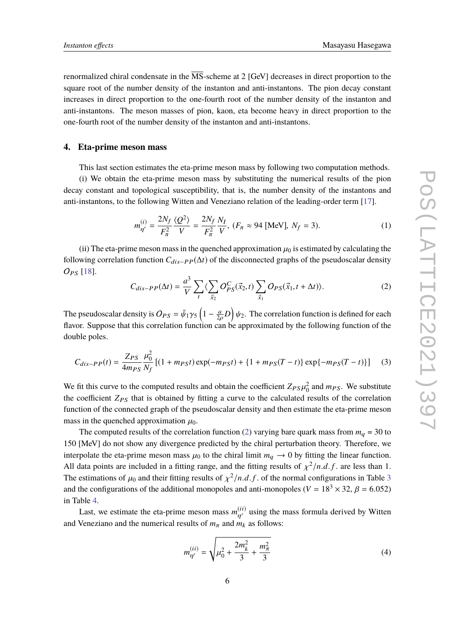renormalized chiral condensate in the  $\overline{\text{MS}}$ -scheme at 2 [GeV] decreases in direct proportion to the square root of the number density of the instanton and anti-instantons. The pion decay constant increases in direct proportion to the one-fourth root of the number density of the instanton and anti-instantons. The meson masses of pion, kaon, eta become heavy in direct proportion to the one-fourth root of the number density of the instanton and anti-instantons.

#### **4. Eta-prime meson mass**

This last section estimates the eta-prime meson mass by following two computation methods.

(i) We obtain the eta-prime meson mass by substituting the numerical results of the pion decay constant and topological susceptibility, that is, the number density of the instantons and anti-instantons, to the following Witten and Veneziano relation of the leading-order term [17].

$$
m_{\eta'}^{(i)} = \frac{2N_f}{F_{\pi}^2} \frac{\langle Q^2 \rangle}{V} = \frac{2N_f}{F_{\pi}^2} \frac{N_I}{V}, (F_{\pi} \approx 94 \text{ [MeV]}, N_f = 3). \tag{1}
$$

(ii) The eta-prime meson mass in the quenched approximation  $\mu_0$  is estimated by calculating the following correlation function *C*dis−PP(∆*t*) of the disconnected graphs of the pseudoscalar density OPS [18].

$$
C_{dis-PP}(\Delta t) = \frac{a^3}{V} \sum_{t} \langle \sum_{\vec{x}_2} O_{PS}^C(\vec{x}_2, t) \sum_{\vec{x}_1} O_{PS}(\vec{x}_1, t + \Delta t) \rangle.
$$
 (2)

The pseudoscalar density is  $O_{PS} = \bar{\psi}_1 \gamma_5 \left(1 - \frac{a}{2\rho}D\right) \psi_2$ . The correlation function is defined for each flavor. Suppose that this correlation function can be approximated by the following function of the double poles.

$$
C_{dis-PP}(t) = \frac{Z_{PS}}{4m_{PS}} \frac{\mu_0^2}{N_f} \left[ (1 + m_{PS}t) \exp(-m_{PS}t) + \{1 + m_{PS}(T - t)\} \exp\{-m_{PS}(T - t)\} \right] \tag{3}
$$

We fit this curve to the computed results and obtain the coefficient  $Z_{PS}\mu_0^2$  and  $m_{PS}$ . We substitute the coefficient  $Z_{PS}$  that is obtained by fitting a curve to the calculated results of the correlation function of the connected graph of the pseudoscalar density and then estimate the eta-prime meson mass in the quenched approximation  $\mu_0$ .

The computed results of the correlation function (2) varying bare quark mass from  $m_q = 30$  to 150 [MeV] do not show any divergence predicted by the chiral perturbation theory. Therefore, we interpolate the eta-prime meson mass  $\mu_0$  to the chiral limit  $m_q \to 0$  by fitting the linear function. All data points are included in a fitting range, and the fitting results of  $\chi^2/n.d.f$ . are less than 1. The estimations of  $\mu_0$  and their fitting results of  $\chi^2/n.d.f.$  of the normal configurations in Table 3 and the configurations of the additional monopoles and anti-monopoles ( $V = 18<sup>3</sup> \times 32$ ,  $\beta = 6.052$ ) in Table 4.

Last, we estimate the eta-prime meson mass  $m_{\eta'}^{(ii)}$  using the mass formula derived by Witten and Veneziano and the numerical results of  $m_{\pi}$  and  $m_k$  as follows:

$$
m_{\eta'}^{(ii)} = \sqrt{\mu_0^2 + \frac{2m_k^2}{3} + \frac{m_\pi^2}{3}}
$$
 (4)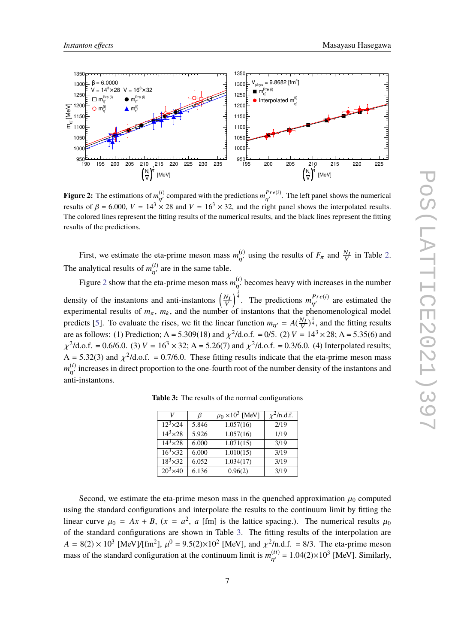

**Figure 2:** The estimations of  $m_{\eta'}^{(i)}$  compared with the predictions  $m_{\eta'}^{Pre(i)}$ . The left panel shows the numerical results of  $\beta = 6.000$ ,  $V = 14^3 \times 28$  and  $V = 16^3 \times 32$ , and the right panel shows the interpolated results. The colored lines represent the fitting results of the numerical results, and the black lines represent the fitting results of the predictions.

First, we estimate the eta-prime meson mass  $m_{\eta'}^{(i)}$  using the results of  $F_{\pi}$  and  $\frac{N_I}{V}$  in Table 2. The analytical results of  $m_{\eta'}^{(i)}$  are in the same table.

Figure 2 show that the eta-prime meson mass  $m_{\eta'}^{(i)}$  becomes heavy with increases in the number density of the instantons and anti-instantons  $\left(\frac{N_I}{V}\right)$  $\int_0^{\frac{1}{4}}$ . The predictions  $m_{\eta\gamma}^{Pre(i)}$  are estimated the experimental results of  $m_{\pi}$ ,  $m_k$ , and the number of instantons that the phenomenological model predicts [5]. To evaluate the rises, we fit the linear function  $m_{\eta'} = A(\frac{N_I}{V})^{\frac{1}{4}}$ , and the fitting results are as follows: (1) Prediction; A = 5.309(18) and  $\chi^2$ /d.o.f. = 0/5. (2) *V* = 14<sup>3</sup> × 28; A = 5.35(6) and  $\chi^2$ /d.o.f. = 0.6/6.0. (3) *V* = 16<sup>3</sup> × 32; A = 5.26(7) and  $\chi^2$ /d.o.f. = 0.3/6.0. (4) Interpolated results;  $A = 5.32(3)$  and  $\chi^2/d.o.f. = 0.7/6.0$ . These fitting results indicate that the eta-prime meson mass  $m_{\eta'}^{(i)}$  increases in direct proportion to the one-fourth root of the number density of the instantons and anti-instantons.

|                                         | ß     | $\mu_0 \times 10^3$ [MeV] | $\frac{2}{\ln d}$ .f. |
|-----------------------------------------|-------|---------------------------|-----------------------|
| $12^3 \times 24$                        | 5.846 | 1.057(16)                 | 2/19                  |
| $\frac{14^3 \times 28}{14^3 \times 28}$ | 5.926 | 1.057(16)                 | 1/19                  |
| $14^3 \times 28$                        | 6.000 | 1.071(15)                 | 3/19                  |
| $16^3 \times 32$                        | 6.000 | 1.010(15)                 | 3/19                  |
| $\overline{18^3} \times 32$             | 6.052 | 1.034(17)                 | 3/19                  |
| $20^3 \times 40$                        | 6.136 | 0.96(2)                   | 3/19                  |

**Table 3:** The results of the normal configurations

Second, we estimate the eta-prime meson mass in the quenched approximation  $\mu_0$  computed using the standard configurations and interpolate the results to the continuum limit by fitting the linear curve  $\mu_0 = Ax + B$ ,  $(x = a^2, a$  [fm] is the lattice spacing.). The numerical results  $\mu_0$ of the standard configurations are shown in Table 3. The fitting results of the interpolation are  $A = 8(2) \times 10^3$  [MeV]/[fm<sup>2</sup>],  $\mu^0 = 9.5(2) \times 10^2$  [MeV], and  $\chi^2$ /n.d.f. = 8/3. The eta-prime meson mass of the standard configuration at the continuum limit is  $m_{\eta'}^{(ii)} = 1.04(2) \times 10^3$  [MeV]. Similarly,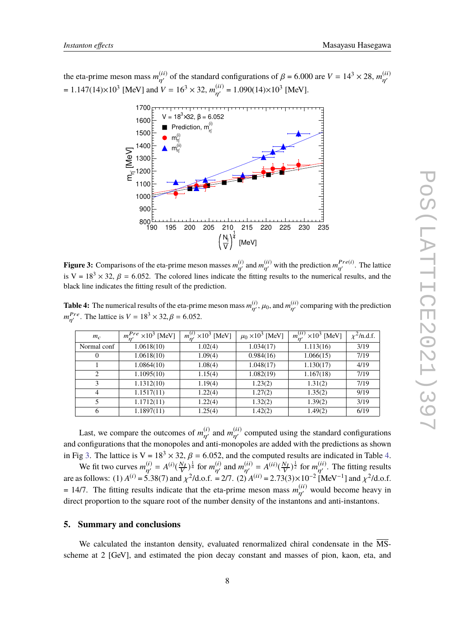the eta-prime meson mass  $m_{\eta'}^{(ii)}$  of the standard configurations of  $\beta$  = 6.000 are  $V = 14^3 \times 28$ ,  $m_{\eta'}^{(ii)}$  $\eta'$ = 1.147(14)×10<sup>3</sup> [MeV] and *V* = 16<sup>3</sup> × 32,  $m_{\eta'}^{(ii)}$  = 1.090(14)×10<sup>3</sup> [MeV].



**Figure 3:** Comparisons of the eta-prime meson masses  $m_{\eta'}^{(i)}$  and  $m_{\eta'}^{(ii)}$  with the prediction  $m_{\eta'}^{Pre(i)}$ . The lattice is V =  $18<sup>3</sup> \times 32$ ,  $\beta$  = 6.052. The colored lines indicate the fitting results to the numerical results, and the black line indicates the fitting result of the prediction.

**Table 4:** The numerical results of the eta-prime meson mass  $m_{\eta'}^{(i)}$ ,  $\mu_0$ , and  $m_{\eta'}^{(ii)}$  comparing with the prediction *m*<sup>*Pre*</sup>. The lattice is *V* =  $18^3 \times 32$ ,  $\beta$  = 6.052.

| $m_c$          | $m_{\nu}^{Pre} \times 10^3$ [MeV] | $m_{\nu}^{(i)} \times 10^3$ [MeV] | $\mu_0 \times 10^3$ [MeV] | $m_{\nu}^{(ii)}$ ×10 <sup>3</sup> [MeV] | $\chi^2$ /n.d.f. |
|----------------|-----------------------------------|-----------------------------------|---------------------------|-----------------------------------------|------------------|
| Normal conf    | 1.0618(10)                        | 1.02(4)                           | 1.034(17)                 | 1.113(16)                               | 3/19             |
| $\theta$       | 1.0618(10)                        | 1.09(4)                           | 0.984(16)                 | 1.066(15)                               | 7/19             |
|                | 1.0864(10)                        | 1.08(4)                           | 1.048(17)                 | 1.130(17)                               | 4/19             |
| $\mathfrak{D}$ | 1.1095(10)                        | 1.15(4)                           | 1.082(19)                 | 1.167(18)                               | 7/19             |
| 3              | 1.1312(10)                        | 1.19(4)                           | 1.23(2)                   | 1.31(2)                                 | 7/19             |
| 4              | 1.1517(11)                        | 1.22(4)                           | 1.27(2)                   | 1.35(2)                                 | 9/19             |
| 5              | 1.1712(11)                        | 1.22(4)                           | 1.32(2)                   | 1.39(2)                                 | 3/19             |
| 6              | 1.1897(11)                        | 1.25(4)                           | 1.42(2)                   | 1.49(2)                                 | 6/19             |

Last, we compare the outcomes of  $m_{\eta'}^{(i)}$  and  $m_{\eta'}^{(ii)}$  computed using the standard configurations and configurations that the monopoles and anti-monopoles are added with the predictions as shown in Fig 3. The lattice is  $V = 18<sup>3</sup> \times 32$ ,  $\beta = 6.052$ , and the computed results are indicated in Table 4.

We fit two curves  $m_{\eta'}^{(i)} = A^{(i)}(\frac{N_I}{V})^{\frac{1}{4}}$  for  $m_{\eta'}^{(i)}$  and  $m_{\eta'}^{(ii)} = A^{(ii)}(\frac{N_I}{V})^{\frac{1}{2}}$  for  $m_{\eta'}^{(ii)}$ . The fitting results are as follows: (1)  $A^{(i)} = 5.38(7)$  and  $\chi^2$ /d.o.f. = 2/7. (2)  $A^{(ii)} = 2.73(3) \times 10^{-2}$  [MeV<sup>-1</sup>] and  $\chi^2$ /d.o.f.  $= 14/7$ . The fitting results indicate that the eta-prime meson mass  $m_{\eta'}^{(ii)}$  would become heavy in direct proportion to the square root of the number density of the instantons and anti-instantons.

### **5. Summary and conclusions**

We calculated the instanton density, evaluated renormalized chiral condensate in the  $\overline{\text{MS}}$ scheme at 2 [GeV], and estimated the pion decay constant and masses of pion, kaon, eta, and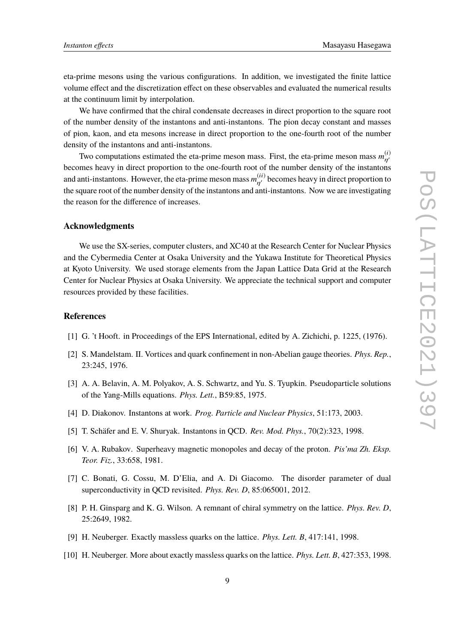eta-prime mesons using the various configurations. In addition, we investigated the finite lattice volume effect and the discretization effect on these observables and evaluated the numerical results at the continuum limit by interpolation.

We have confirmed that the chiral condensate decreases in direct proportion to the square root of the number density of the instantons and anti-instantons. The pion decay constant and masses of pion, kaon, and eta mesons increase in direct proportion to the one-fourth root of the number density of the instantons and anti-instantons.

Two computations estimated the eta-prime meson mass. First, the eta-prime meson mass  $m_{n'}^{(i)}$  $\eta'$ becomes heavy in direct proportion to the one-fourth root of the number density of the instantons and anti-instantons. However, the eta-prime meson mass  $m_{\eta'}^{(ii)}$  becomes heavy in direct proportion to the square root of the number density of the instantons and anti-instantons. Now we are investigating the reason for the difference of increases.

### **Acknowledgments**

We use the SX-series, computer clusters, and XC40 at the Research Center for Nuclear Physics and the Cybermedia Center at Osaka University and the Yukawa Institute for Theoretical Physics at Kyoto University. We used storage elements from the Japan Lattice Data Grid at the Research Center for Nuclear Physics at Osaka University. We appreciate the technical support and computer resources provided by these facilities.

## **References**

- [1] G. 't Hooft. in Proceedings of the EPS International, edited by A. Zichichi, p. 1225, (1976).
- [2] S. Mandelstam. II. Vortices and quark confinement in non-Abelian gauge theories. *Phys. Rep.*, 23:245, 1976.
- [3] A. A. Belavin, A. M. Polyakov, A. S. Schwartz, and Yu. S. Tyupkin. Pseudoparticle solutions of the Yang-Mills equations. *Phys. Lett.*, B59:85, 1975.
- [4] D. Diakonov. Instantons at work. *Prog. Particle and Nuclear Physics*, 51:173, 2003.
- [5] T. Schäfer and E. V. Shuryak. Instantons in QCD. *Rev. Mod. Phys.*, 70(2):323, 1998.
- [6] V. A. Rubakov. Superheavy magnetic monopoles and decay of the proton. *Pis'ma Zh. Eksp. Teor. Fiz.*, 33:658, 1981.
- [7] C. Bonati, G. Cossu, M. D'Elia, and A. Di Giacomo. The disorder parameter of dual superconductivity in QCD revisited. *Phys. Rev. D*, 85:065001, 2012.
- [8] P. H. Ginsparg and K. G. Wilson. A remnant of chiral symmetry on the lattice. *Phys. Rev. D*, 25:2649, 1982.
- [9] H. Neuberger. Exactly massless quarks on the lattice. *Phys. Lett. B*, 417:141, 1998.
- [10] H. Neuberger. More about exactly massless quarks on the lattice. *Phys. Lett. B*, 427:353, 1998.